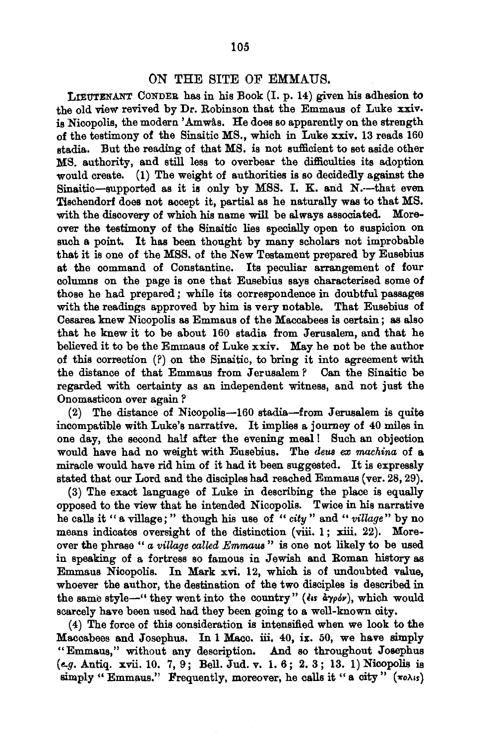## ON THE SITE OF EMMAUS.

LIEUTENANT CONDER has in his Book (I. p. 14) given his adhesion to the old view revived by Dr. Robinson that the Emmaus of Luke xxiv. is Nicopolis, the modern 'Amwas. He does so apparently on the strength of the testimony of the Sinaitic MS., which in Luke xxiv. 13 reads 160 stadia. But the reading of that MS. is not sufficient to set aside other MS. authority, and still less to overbear the difficulties its adoption would create. (1) The weight of authorities is so decidedly against the Sinaitic-supported as it is only by MSS. I. K. and N.--that even Tischendorf does not accept it, partial as he naturally was to that MS. with the discovery of which his name will be always associated. Moreover the testimony of the Sinaitic lies specially open to suspicion on such a point. It has been thought by many scholars not improbable that it is one of the MSS. of the New Testament prepared by Eusebius at the command of Constantine. Its peculiar arrangement of four columns on the page is one that Eusebius says characterised some of those he had prepared; while its correspondence in doubtful passages with the readings approved by him is very notable. That Eusebius of Cesarea knew Nicopolis as Emmaus of the Maccabees is certain ; as also that he knew it to be about 160 stadia from Jerusalem, and that he believed it to be the Emmaus of Luke xxiv. May he not be the author of this correction (?) on the Sinaitic, to bring it into agreement with the distance of that Emmaus from Jerusalem? Can the Sinaitic be regarded with certainty as an independent witness, and not just the Onomasticon over again ?

(2) The distance of Nicopolis-160 stadia-from Jerusalem is quite incompatible with Luke's narrative. It implies a journey of 40 miles in one day, the second half after the evening meal! Such an objection would have had no weight with Eusebius. The *deus ex machina* of a miracle would have rid him of it had it heap suggested. It is expressly miracle would have rid him of it had it been suggested. It is expressly<br>stated that our Lord and the disciples had reached Emmaus (ver. 28, 29).

(3) The exact language of Luke in describing the place is equally opposed to the view that he intended Nicopolis. Twice in his narrative he calls it " a village; " though his use of " *city* " and " *village"* by no means indicates oversight of the distinction (viii. 1; xiii. 22). Moreover the phrase " *a village called Emmaus* " is one not likely to be used in speaking of a fortress so famous in Jewish and Roman history as Emmaus Nicopolis. In Mark xvi. 12, which is of undoubted value, whoever the author, the destination of the two disciples is described in the same style-" they went into the country" ( $\epsilon$  is  $\alpha y_0 \delta \nu$ ), which would scarcely have been used had they been going to a well-known city.

( 4) The force of this consideration is intensified when we look to the Maccabees and Josephus. In 1 Macc. iii. 40, ix. 50, we have simply "Emmaus," without any description. And so throughout Josephus *(e.g.* Autiq. xvii. 10. 7, 9; Bell. Jud. v. 1. 6; 2. 3; 13. 1) Nicopolis is simply " Emmaus." Frequently, moreover, he calls it "a city"  $(\pi o \lambda \iota s)$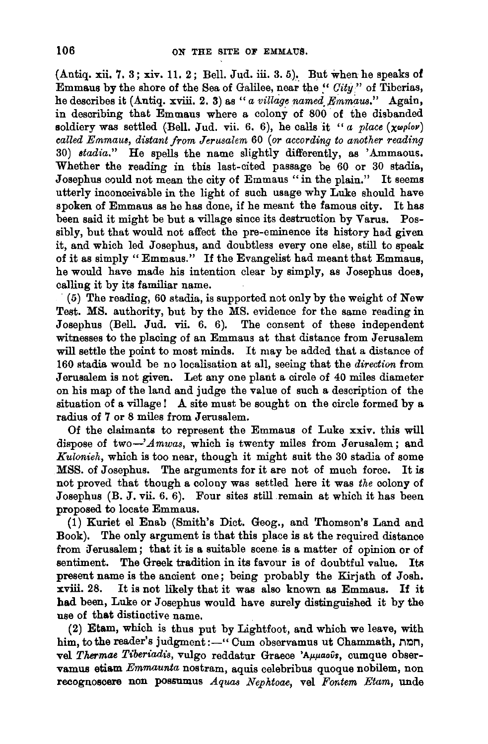(Antiq. xii. 7. 3; xiv. 11. 2; Bell. Jud. iii. 3. 5). But when he speaks of Emmaus by the shore of the Sea of Galilee, near the~· *Oity"* of Tiberias, he describes it (Antiq. xviii. 2. 3) as "a village named Emmaus." Again, in describing that Emmaus where a colony of 800 of the disbanded soldiery was settled (Bell. Jud. vii. 6. 6), he calls it "a place  $(\chi \omega \rho \text{log}r)$ *called Emmau8, distant from Jerusalem* 60 *(or according to another reading*  30) *stadia."* He spells the name slightly differently, as 'Ammaous. Whether the reading in this last-cited passage be 60 or 30 stadia, Josephus could not mean the city of Emmaus "in the plain." It seems utterly inconceivable in the light of such usage why Luke should have spoken of Emmaus as he has done, if he meant the famous city. It has been said it might be but a village since its destruction by Varus. Possibly, but that would not affect the pre-eminence its history had given it, and which led Josephus, and doubtless every one else, still to speak of it as simply " Emmaus." If the Evangelist had meant that Emmaus, he would have made his intention clear by simply, as Josephus does, calling it by its familiar name.

( 5) The reading, 60 stadia, is supported not only by the weight of New Test. MS. authority, but by the MS. evidence for the same reading in Josephus (Bell. Jud. vii. 6. 6). The consent of these independent witnesses to the placing of an Emmaus at that distance from Jerusalem will settle the point to most minds. It may be added that a distance of 160 stadia would be no localisation at all, seeing that the *direction* from Jerusalem is not given. Let any one plant a circle of 40 miles diameter on his map of the land and judge the value of such a description of the situation of a village! A site must be sought on the circle formed by a radius of 7 or 8 miles from Jerusalem.

Of the claimants to represent the Emmaus of Luke xxiv. this will dispose of two-'Amwas, which is twenty miles from Jerusalem; and *Kulonieh,* which is too near, though it might suit the 30 stadia of some MSS. of Josephus. The arguments for it are not of much force. It is not proved that though a colony was settled here it was *the* colony of Josephus (B. J. vii. 6. 6). Four sites still remain at which it has been proposed to locate Emmaus.

(1) Kuriet el Enab (Smith's Diet. Geog., and Thomson's Land and Book). The only argument is that this place is at the required distance from Jerusalem; that it is a suitable scene is a matter of opinion or of sentiment. The Greek tradition in its favour is of doubtful value. Its present name is the ancient one; being probably the Kirjath of Josh. xviii. 28. It is not likely that it was also known as Emmaus. If it had been, Luke or Josephus would have surely distinguished it by the use of that distinctive name.

(2) Etam, which is thus put by Lightfoot, and which we leave, with him, to the reader's judgment:-" Cum observamus ut Chammath, non, vel Thermae Tiberiadis, vulgo reddatur Graece 'Aµµaous, cumque observamus etiam *Emmaunta* nostram, aquis celebribus quoque nobilem, non recognoscere non possumus *Aquas Nephtoae,* vel *Fontem Etam,* unde